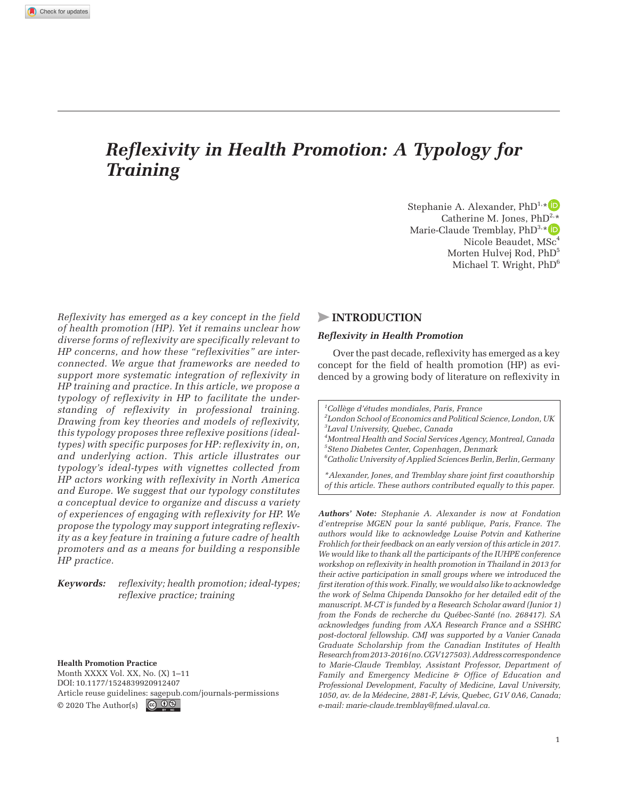# *Reflexivity in Health Promotion: A Typology for Training*

Stephanie A. Alexander,  $PhD^{1,*}$ Catherine M. Jones,  $PhD^{2,*}$ Marie-Claude Tremblay,  $PhD^{3,*}$ Nicole Beaudet, MSc<sup>4</sup> Morten Hulvej Rod, PhD<sup>5</sup> Michael T. Wright, PhD6

*Reflexivity has emerged as a key concept in the field of health promotion (HP). Yet it remains unclear how diverse forms of reflexivity are specifically relevant to HP concerns, and how these "reflexivities" are interconnected. We argue that frameworks are needed to support more systematic integration of reflexivity in HP training and practice. In this article, we propose a typology of reflexivity in HP to facilitate the understanding of reflexivity in professional training. Drawing from key theories and models of reflexivity, this typology proposes three reflexive positions (idealtypes) with specific purposes for HP: reflexivity in, on, and underlying action. This article illustrates our typology's ideal-types with vignettes collected from HP actors working with reflexivity in North America and Europe. We suggest that our typology constitutes a conceptual device to organize and discuss a variety of experiences of engaging with reflexivity for HP. We propose the typology may support integrating reflexivity as a key feature in training a future cadre of health promoters and as a means for building a responsible HP practice.*

*Keywords: reflexivity; health promotion; ideal-types; reflexive practice; training*

**Health Promotion Practice**

Month XXXX Vol. XX, No. (X) 1–11 DOI: 10.1177/1524839920912407 Article reuse guidelines: [sagepub.com/journals-permissions](https://us.sagepub.com/en-us/journals-permissions) © 2020 The Author(s)  $\bigcirc$  0 9

# >**Introduction**

#### *Reflexivity in Health Promotion*

Over the past decade, reflexivity has emerged as a key concept for the field of health promotion (HP) as evidenced by a growing body of literature on reflexivity in

*1 Collège d'études mondiales, Paris, France 2 London School of Economics and Political Science, London, UK 3 Laval University, Quebec, Canada*

*4 Montreal Health and Social Services Agency, Montreal, Canada 5 Steno Diabetes Center, Copenhagen, Denmark*

*6 Catholic University of Applied Sciences Berlin, Berlin, Germany*

*\*Alexander, Jones, and Tremblay share joint first coauthorship of this article. These authors contributed equally to this paper.* 

*Authors' Note: Stephanie A. Alexander is now at Fondation d'entreprise MGEN pour la santé publique, Paris, France. The authors would like to acknowledge Louise Potvin and Katherine Frohlich for their feedback on an early version of this article in 2017. We would like to thank all the participants of the IUHPE conference workshop on reflexivity in health promotion in Thailand in 2013 for their active participation in small groups where we introduced the first iteration of this work. Finally, we would also like to acknowledge the work of Selma Chipenda Dansokho for her detailed edit of the manuscript. M-CT is funded by a Research Scholar award (Junior 1) from the Fonds de recherche du Québec-Santé (no. 268417). SA acknowledges funding from AXA Research France and a SSHRC post-doctoral fellowship. CMJ was supported by a Vanier Canada Graduate Scholarship from the Canadian Institutes of Health Research from 2013-2016 (no. CGV127503). Address correspondence to Marie-Claude Tremblay, Assistant Professor, Department of Family and Emergency Medicine & Office of Education and Professional Development, Faculty of Medicine, Laval University, 1050, av. de la Médecine, 2881-F, Lévis, Quebec, G1V 0A6, Canada; e-mail: [marie-claude.tremblay@fmed.ulaval.ca](mailto:marie-claude.tremblay@fmed.ulaval.ca).*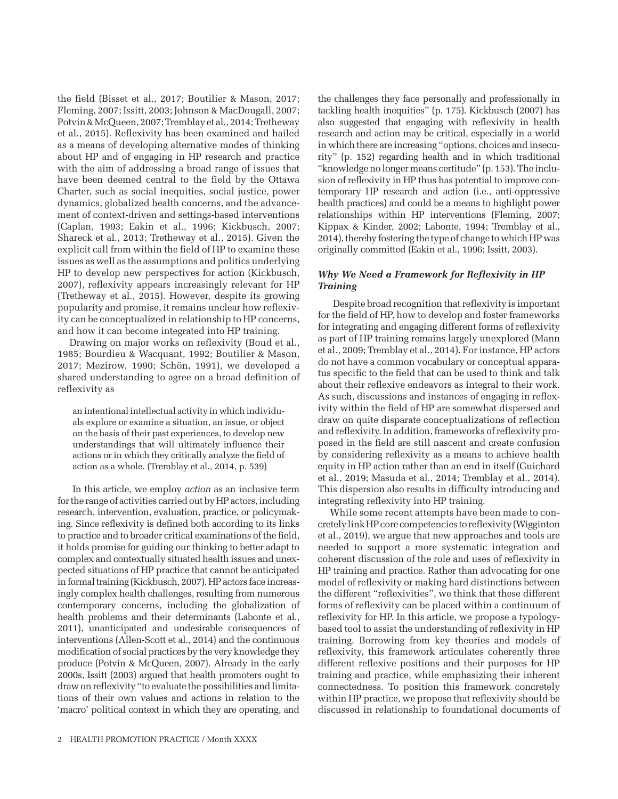the field (Bisset et al., 2017; Boutilier & Mason, 2017; Fleming, 2007; Issitt, 2003; Johnson & MacDougall, 2007; Potvin & McQueen, 2007; Tremblay et al., 2014; Tretheway et al., 2015). Reflexivity has been examined and hailed as a means of developing alternative modes of thinking about HP and of engaging in HP research and practice with the aim of addressing a broad range of issues that have been deemed central to the field by the Ottawa Charter, such as social inequities, social justice, power dynamics, globalized health concerns, and the advancement of context-driven and settings-based interventions (Caplan, 1993; Eakin et al., 1996; Kickbusch, 2007; Shareck et al., 2013; Tretheway et al., 2015). Given the explicit call from within the field of HP to examine these issues as well as the assumptions and politics underlying HP to develop new perspectives for action (Kickbusch, 2007), reflexivity appears increasingly relevant for HP (Tretheway et al., 2015). However, despite its growing popularity and promise, it remains unclear how reflexivity can be conceptualized in relationship to HP concerns, and how it can become integrated into HP training.

Drawing on major works on reflexivity (Boud et al., 1985; Bourdieu & Wacquant, 1992; Boutilier & Mason, 2017; Mezirow, 1990; Schön, 1991), we developed a shared understanding to agree on a broad definition of reflexivity as

an intentional intellectual activity in which individuals explore or examine a situation, an issue, or object on the basis of their past experiences, to develop new understandings that will ultimately influence their actions or in which they critically analyze the field of action as a whole. (Tremblay et al., 2014, p. 539)

In this article, we employ *action* as an inclusive term for the range of activities carried out by HP actors, including research, intervention, evaluation, practice, or policymaking. Since reflexivity is defined both according to its links to practice and to broader critical examinations of the field, it holds promise for guiding our thinking to better adapt to complex and contextually situated health issues and unexpected situations of HP practice that cannot be anticipated in formal training (Kickbusch, 2007). HP actors face increasingly complex health challenges, resulting from numerous contemporary concerns, including the globalization of health problems and their determinants (Labonte et al., 2011), unanticipated and undesirable consequences of interventions (Allen-Scott et al., 2014) and the continuous modification of social practices by the very knowledge they produce (Potvin & McQueen, 2007). Already in the early 2000s, Issitt (2003) argued that health promoters ought to draw on reflexivity "to evaluate the possibilities and limitations of their own values and actions in relation to the 'macro' political context in which they are operating, and the challenges they face personally and professionally in tackling health inequities" (p. 175). Kickbusch (2007) has also suggested that engaging with reflexivity in health research and action may be critical, especially in a world in which there are increasing "options, choices and insecurity" (p. 152) regarding health and in which traditional "knowledge no longer means certitude" (p. 153). The inclusion of reflexivity in HP thus has potential to improve contemporary HP research and action (i.e., anti-oppressive health practices) and could be a means to highlight power relationships within HP interventions (Fleming, 2007; Kippax & Kinder, 2002; Labonte, 1994; Tremblay et al., 2014), thereby fostering the type of change to which HP was originally committed (Eakin et al., 1996; Issitt, 2003).

# *Why We Need a Framework for Reflexivity in HP Training*

Despite broad recognition that reflexivity is important for the field of HP, how to develop and foster frameworks for integrating and engaging different forms of reflexivity as part of HP training remains largely unexplored (Mann et al., 2009; Tremblay et al., 2014). For instance, HP actors do not have a common vocabulary or conceptual apparatus specific to the field that can be used to think and talk about their reflexive endeavors as integral to their work. As such, discussions and instances of engaging in reflexivity within the field of HP are somewhat dispersed and draw on quite disparate conceptualizations of reflection and reflexivity. In addition, frameworks of reflexivity proposed in the field are still nascent and create confusion by considering reflexivity as a means to achieve health equity in HP action rather than an end in itself (Guichard et al., 2019; Masuda et al., 2014; Tremblay et al., 2014). This dispersion also results in difficulty introducing and integrating reflexivity into HP training.

While some recent attempts have been made to concretely link HP core competencies to reflexivity (Wigginton et al., 2019), we argue that new approaches and tools are needed to support a more systematic integration and coherent discussion of the role and uses of reflexivity in HP training and practice. Rather than advocating for one model of reflexivity or making hard distinctions between the different "reflexivities", we think that these different forms of reflexivity can be placed within a continuum of reflexivity for HP. In this article, we propose a typologybased tool to assist the understanding of reflexivity in HP training. Borrowing from key theories and models of reflexivity, this framework articulates coherently three different reflexive positions and their purposes for HP training and practice, while emphasizing their inherent connectedness. To position this framework concretely within HP practice, we propose that reflexivity should be discussed in relationship to foundational documents of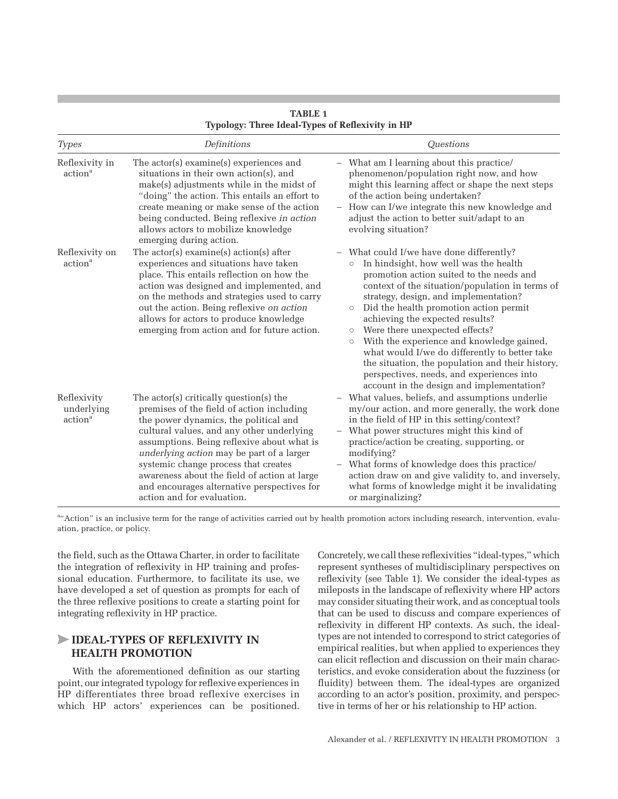| <b>Types</b>                                     | Definitions                                                                                                                                                                                                                                                                                                                                                                                                                                | Questions                                                                                                                                                                                                                                                                                                                                                                                                                                                                                                                                                                                                                      |
|--------------------------------------------------|--------------------------------------------------------------------------------------------------------------------------------------------------------------------------------------------------------------------------------------------------------------------------------------------------------------------------------------------------------------------------------------------------------------------------------------------|--------------------------------------------------------------------------------------------------------------------------------------------------------------------------------------------------------------------------------------------------------------------------------------------------------------------------------------------------------------------------------------------------------------------------------------------------------------------------------------------------------------------------------------------------------------------------------------------------------------------------------|
| Reflexivity in<br>action <sup>a</sup>            | The actor(s) examine(s) experiences and<br>situations in their own action(s), and<br>make(s) adjustments while in the midst of<br>"doing" the action. This entails an effort to<br>create meaning or make sense of the action<br>being conducted. Being reflexive in action<br>allows actors to mobilize knowledge<br>emerging during action.                                                                                              | What am I learning about this practice/<br>phenomenon/population right now, and how<br>might this learning affect or shape the next steps<br>of the action being undertaken?<br>How can I/we integrate this new knowledge and<br>adjust the action to better suit/adapt to an<br>evolving situation?                                                                                                                                                                                                                                                                                                                           |
| Reflexivity on<br>action <sup>a</sup>            | The $actor(s)$ examine $(s)$ action $(s)$ after<br>experiences and situations have taken<br>place. This entails reflection on how the<br>action was designed and implemented, and<br>on the methods and strategies used to carry<br>out the action. Being reflexive on action<br>allows for actors to produce knowledge<br>emerging from action and for future action.                                                                     | What could I/we have done differently?<br>In hindsight, how well was the health<br>$\circ$<br>promotion action suited to the needs and<br>context of the situation/population in terms of<br>strategy, design, and implementation?<br>Did the health promotion action permit<br>$\circ$<br>achieving the expected results?<br>Were there unexpected effects?<br>$\circ$<br>With the experience and knowledge gained,<br>$\circ$<br>what would I/we do differently to better take<br>the situation, the population and their history,<br>perspectives, needs, and experiences into<br>account in the design and implementation? |
| Reflexivity<br>underlying<br>action <sup>a</sup> | The actor(s) critically question(s) the<br>premises of the field of action including<br>the power dynamics, the political and<br>cultural values, and any other underlying<br>assumptions. Being reflexive about what is<br>underlying action may be part of a larger<br>systemic change process that creates<br>awareness about the field of action at large<br>and encourages alternative perspectives for<br>action and for evaluation. | What values, beliefs, and assumptions underlie<br>my/our action, and more generally, the work done<br>in the field of HP in this setting/context?<br>What power structures might this kind of<br>practice/action be creating, supporting, or<br>modifying?<br>What forms of knowledge does this practice/<br>action draw on and give validity to, and inversely,<br>what forms of knowledge might it be invalidating<br>or marginalizing?                                                                                                                                                                                      |

**Table 1 Typology: Three Ideal-Types of Reflexivity in HP**

a" Action" is an inclusive term for the range of activities carried out by health promotion actors including research, intervention, evaluation, practice, or policy.

the field, such as the Ottawa Charter, in order to facilitate the integration of reflexivity in HP training and professional education. Furthermore, to facilitate its use, we have developed a set of question as prompts for each of the three reflexive positions to create a starting point for integrating reflexivity in HP practice.

# >**Ideal-Types Of Reflexivity In Health Promotion**

With the aforementioned definition as our starting point, our integrated typology for reflexive experiences in HP differentiates three broad reflexive exercises in which HP actors' experiences can be positioned. Concretely, we call these reflexivities "ideal-types," which represent syntheses of multidisciplinary perspectives on reflexivity (see Table 1). We consider the ideal-types as mileposts in the landscape of reflexivity where HP actors may consider situating their work, and as conceptual tools that can be used to discuss and compare experiences of reflexivity in different HP contexts. As such, the idealtypes are not intended to correspond to strict categories of empirical realities, but when applied to experiences they can elicit reflection and discussion on their main characteristics, and evoke consideration about the fuzziness (or fluidity) between them. The ideal-types are organized according to an actor's position, proximity, and perspective in terms of her or his relationship to HP action.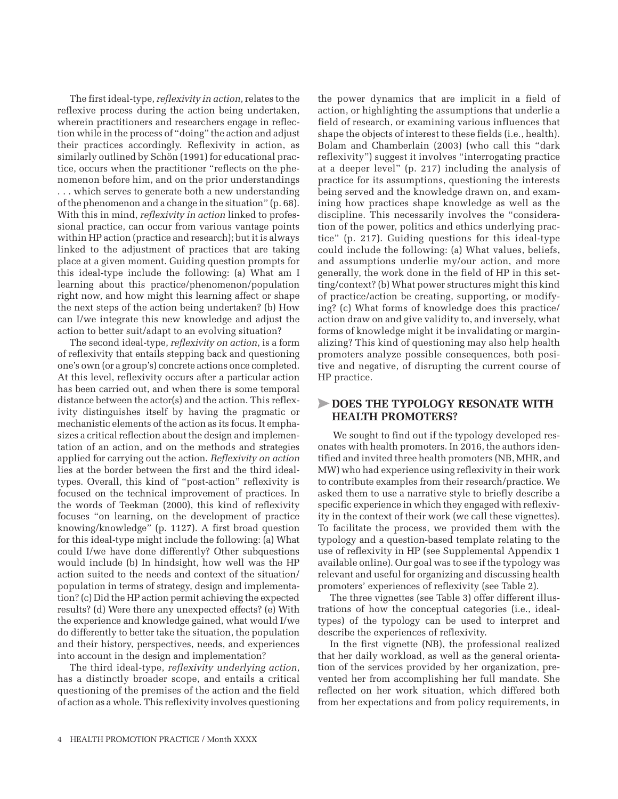The first ideal-type, *reflexivity in action*, relates to the reflexive process during the action being undertaken, wherein practitioners and researchers engage in reflection while in the process of "doing" the action and adjust their practices accordingly. Reflexivity in action, as similarly outlined by Schön (1991) for educational practice, occurs when the practitioner "reflects on the phenomenon before him, and on the prior understandings . . . which serves to generate both a new understanding of the phenomenon and a change in the situation" (p. 68). With this in mind, *reflexivity in action* linked to professional practice, can occur from various vantage points within HP action (practice and research); but it is always linked to the adjustment of practices that are taking place at a given moment. Guiding question prompts for this ideal-type include the following: (a) What am I learning about this practice/phenomenon/population right now, and how might this learning affect or shape the next steps of the action being undertaken? (b) How can I/we integrate this new knowledge and adjust the action to better suit/adapt to an evolving situation?

The second ideal-type, *reflexivity on action*, is a form of reflexivity that entails stepping back and questioning one's own (or a group's) concrete actions once completed. At this level, reflexivity occurs after a particular action has been carried out, and when there is some temporal distance between the actor(s) and the action. This reflexivity distinguishes itself by having the pragmatic or mechanistic elements of the action as its focus. It emphasizes a critical reflection about the design and implementation of an action, and on the methods and strategies applied for carrying out the action. *Reflexivity on action* lies at the border between the first and the third idealtypes. Overall, this kind of "post-action" reflexivity is focused on the technical improvement of practices. In the words of Teekman (2000), this kind of reflexivity focuses "on learning, on the development of practice knowing/knowledge" (p. 1127). A first broad question for this ideal-type might include the following: (a) What could I/we have done differently? Other subquestions would include (b) In hindsight, how well was the HP action suited to the needs and context of the situation/ population in terms of strategy, design and implementation? (c) Did the HP action permit achieving the expected results? (d) Were there any unexpected effects? (e) With the experience and knowledge gained, what would I/we do differently to better take the situation, the population and their history, perspectives, needs, and experiences into account in the design and implementation?

The third ideal-type, *reflexivity underlying action*, has a distinctly broader scope, and entails a critical questioning of the premises of the action and the field of action as a whole. This reflexivity involves questioning the power dynamics that are implicit in a field of action, or highlighting the assumptions that underlie a field of research, or examining various influences that shape the objects of interest to these fields (i.e., health). Bolam and Chamberlain (2003) (who call this "dark reflexivity") suggest it involves "interrogating practice at a deeper level" (p. 217) including the analysis of practice for its assumptions, questioning the interests being served and the knowledge drawn on, and examining how practices shape knowledge as well as the discipline. This necessarily involves the "consideration of the power, politics and ethics underlying practice" (p. 217). Guiding questions for this ideal-type could include the following: (a) What values, beliefs, and assumptions underlie my/our action, and more generally, the work done in the field of HP in this setting/context? (b) What power structures might this kind of practice/action be creating, supporting, or modifying? (c) What forms of knowledge does this practice/ action draw on and give validity to, and inversely, what forms of knowledge might it be invalidating or marginalizing? This kind of questioning may also help health promoters analyze possible consequences, both positive and negative, of disrupting the current course of HP practice.

# >**Does the typology resonate with health promoters?**

We sought to find out if the typology developed resonates with health promoters. In 2016, the authors identified and invited three health promoters (NB, MHR, and MW) who had experience using reflexivity in their work to contribute examples from their research/practice. We asked them to use a narrative style to briefly describe a specific experience in which they engaged with reflexivity in the context of their work (we call these vignettes). To facilitate the process, we provided them with the typology and a question-based template relating to the use of reflexivity in HP (see Supplemental Appendix 1 available online). Our goal was to see if the typology was relevant and useful for organizing and discussing health promoters' experiences of reflexivity (see Table 2).

The three vignettes (see Table 3) offer different illustrations of how the conceptual categories (i.e., idealtypes) of the typology can be used to interpret and describe the experiences of reflexivity.

In the first vignette (NB), the professional realized that her daily workload, as well as the general orientation of the services provided by her organization, prevented her from accomplishing her full mandate. She reflected on her work situation, which differed both from her expectations and from policy requirements, in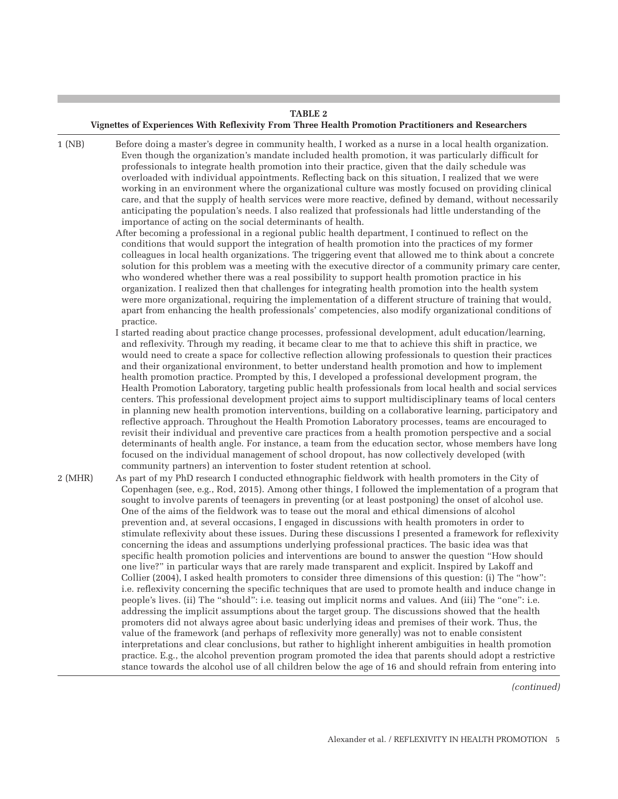# **Table 2 Vignettes of Experiences With Reflexivity From Three Health Promotion Practitioners and Researchers**

| 1 (NB)       | Before doing a master's degree in community health, I worked as a nurse in a local health organization.<br>Even though the organization's mandate included health promotion, it was particularly difficult for   |
|--------------|------------------------------------------------------------------------------------------------------------------------------------------------------------------------------------------------------------------|
|              | professionals to integrate health promotion into their practice, given that the daily schedule was                                                                                                               |
|              | overloaded with individual appointments. Reflecting back on this situation, I realized that we were                                                                                                              |
|              | working in an environment where the organizational culture was mostly focused on providing clinical                                                                                                              |
|              | care, and that the supply of health services were more reactive, defined by demand, without necessarily                                                                                                          |
|              | anticipating the population's needs. I also realized that professionals had little understanding of the                                                                                                          |
|              | importance of acting on the social determinants of health.                                                                                                                                                       |
|              | After becoming a professional in a regional public health department, I continued to reflect on the                                                                                                              |
|              | conditions that would support the integration of health promotion into the practices of my former                                                                                                                |
|              | colleagues in local health organizations. The triggering event that allowed me to think about a concrete                                                                                                         |
|              | solution for this problem was a meeting with the executive director of a community primary care center,                                                                                                          |
|              | who wondered whether there was a real possibility to support health promotion practice in his                                                                                                                    |
|              | organization. I realized then that challenges for integrating health promotion into the health system<br>were more organizational, requiring the implementation of a different structure of training that would, |
|              | apart from enhancing the health professionals' competencies, also modify organizational conditions of                                                                                                            |
|              | practice.                                                                                                                                                                                                        |
|              | I started reading about practice change processes, professional development, adult education/learning,                                                                                                           |
|              | and reflexivity. Through my reading, it became clear to me that to achieve this shift in practice, we                                                                                                            |
|              | would need to create a space for collective reflection allowing professionals to question their practices                                                                                                        |
|              | and their organizational environment, to better understand health promotion and how to implement                                                                                                                 |
|              | health promotion practice. Prompted by this, I developed a professional development program, the                                                                                                                 |
|              | Health Promotion Laboratory, targeting public health professionals from local health and social services                                                                                                         |
|              | centers. This professional development project aims to support multidisciplinary teams of local centers                                                                                                          |
|              | in planning new health promotion interventions, building on a collaborative learning, participatory and                                                                                                          |
|              | reflective approach. Throughout the Health Promotion Laboratory processes, teams are encouraged to                                                                                                               |
|              | revisit their individual and preventive care practices from a health promotion perspective and a social                                                                                                          |
|              | determinants of health angle. For instance, a team from the education sector, whose members have long                                                                                                            |
|              | focused on the individual management of school dropout, has now collectively developed (with                                                                                                                     |
|              | community partners) an intervention to foster student retention at school.                                                                                                                                       |
| $2 \, (MHR)$ | As part of my PhD research I conducted ethnographic fieldwork with health promoters in the City of                                                                                                               |
|              | Copenhagen (see, e.g., Rod, 2015). Among other things, I followed the implementation of a program that                                                                                                           |
|              | sought to involve parents of teenagers in preventing (or at least postponing) the onset of alcohol use.                                                                                                          |
|              | One of the aims of the fieldwork was to tease out the moral and ethical dimensions of alcohol<br>prevention and, at several occasions, I engaged in discussions with health promoters in order to                |
|              | stimulate reflexivity about these issues. During these discussions I presented a framework for reflexivity                                                                                                       |
|              | concerning the ideas and assumptions underlying professional practices. The basic idea was that                                                                                                                  |
|              | specific health promotion policies and interventions are bound to answer the question "How should                                                                                                                |
|              | one live?" in particular ways that are rarely made transparent and explicit. Inspired by Lakoff and                                                                                                              |
|              | Collier (2004), I asked health promoters to consider three dimensions of this question: (i) The "how":                                                                                                           |
|              | i.e. reflexivity concerning the specific techniques that are used to promote health and induce change in                                                                                                         |
|              | people's lives. (ii) The "should": i.e. teasing out implicit norms and values. And (iii) The "one": i.e.                                                                                                         |
|              | addressing the implicit assumptions about the target group. The discussions showed that the health                                                                                                               |
|              | promoters did not always agree about basic underlying ideas and premises of their work. Thus, the                                                                                                                |
|              | value of the framework (and perhaps of reflexivity more generally) was not to enable consistent                                                                                                                  |
|              | interpretations and clear conclusions, but rather to highlight inherent ambiguities in health promotion                                                                                                          |
|              | practice. E.g., the alcohol prevention program promoted the idea that parents should adopt a restrictive                                                                                                         |
|              | stance towards the alcohol use of all children below the age of 16 and should refrain from entering into                                                                                                         |

*(continued)*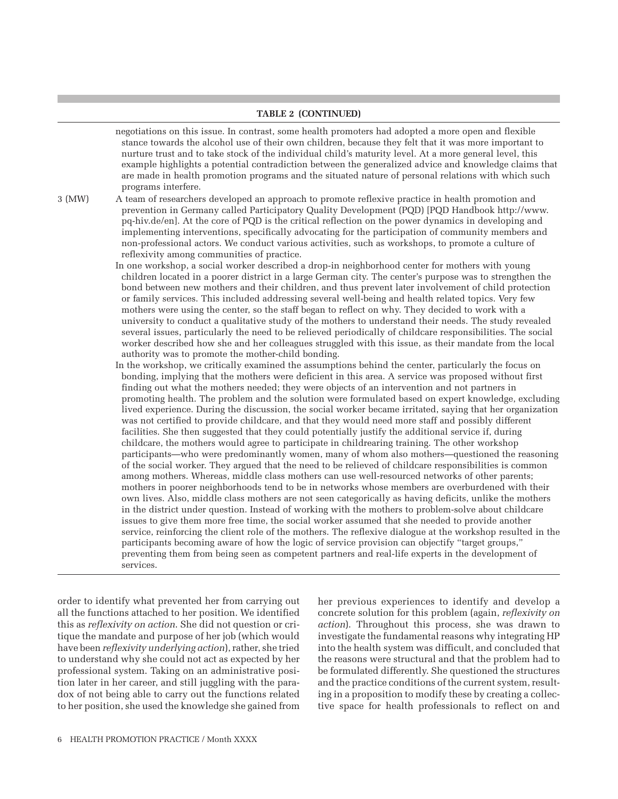#### **Table 2 (continued)**

negotiations on this issue. In contrast, some health promoters had adopted a more open and flexible stance towards the alcohol use of their own children, because they felt that it was more important to nurture trust and to take stock of the individual child's maturity level. At a more general level, this example highlights a potential contradiction between the generalized advice and knowledge claims that are made in health promotion programs and the situated nature of personal relations with which such programs interfere.

3 (MW) A team of researchers developed an approach to promote reflexive practice in health promotion and prevention in Germany called Participatory Quality Development (PQD) [PQD Handbook [http://www.](http://www.pq-hiv.de/en) [pq-hiv.de/en\]](http://www.pq-hiv.de/en). At the core of PQD is the critical reflection on the power dynamics in developing and implementing interventions, specifically advocating for the participation of community members and non-professional actors. We conduct various activities, such as workshops, to promote a culture of reflexivity among communities of practice.

> In one workshop, a social worker described a drop-in neighborhood center for mothers with young children located in a poorer district in a large German city. The center's purpose was to strengthen the bond between new mothers and their children, and thus prevent later involvement of child protection or family services. This included addressing several well-being and health related topics. Very few mothers were using the center, so the staff began to reflect on why. They decided to work with a university to conduct a qualitative study of the mothers to understand their needs. The study revealed several issues, particularly the need to be relieved periodically of childcare responsibilities. The social worker described how she and her colleagues struggled with this issue, as their mandate from the local authority was to promote the mother-child bonding.

In the workshop, we critically examined the assumptions behind the center, particularly the focus on bonding, implying that the mothers were deficient in this area. A service was proposed without first finding out what the mothers needed; they were objects of an intervention and not partners in promoting health. The problem and the solution were formulated based on expert knowledge, excluding lived experience. During the discussion, the social worker became irritated, saying that her organization was not certified to provide childcare, and that they would need more staff and possibly different facilities. She then suggested that they could potentially justify the additional service if, during childcare, the mothers would agree to participate in childrearing training. The other workshop participants—who were predominantly women, many of whom also mothers—questioned the reasoning of the social worker. They argued that the need to be relieved of childcare responsibilities is common among mothers. Whereas, middle class mothers can use well-resourced networks of other parents; mothers in poorer neighborhoods tend to be in networks whose members are overburdened with their own lives. Also, middle class mothers are not seen categorically as having deficits, unlike the mothers in the district under question. Instead of working with the mothers to problem-solve about childcare issues to give them more free time, the social worker assumed that she needed to provide another service, reinforcing the client role of the mothers. The reflexive dialogue at the workshop resulted in the participants becoming aware of how the logic of service provision can objectify "target groups," preventing them from being seen as competent partners and real-life experts in the development of services.

order to identify what prevented her from carrying out all the functions attached to her position. We identified this as *reflexivity on action*. She did not question or critique the mandate and purpose of her job (which would have been *reflexivity underlying action*), rather, she tried to understand why she could not act as expected by her professional system. Taking on an administrative position later in her career, and still juggling with the paradox of not being able to carry out the functions related to her position, she used the knowledge she gained from

her previous experiences to identify and develop a concrete solution for this problem (again, *reflexivity on action*). Throughout this process, she was drawn to investigate the fundamental reasons why integrating HP into the health system was difficult, and concluded that the reasons were structural and that the problem had to be formulated differently. She questioned the structures and the practice conditions of the current system, resulting in a proposition to modify these by creating a collective space for health professionals to reflect on and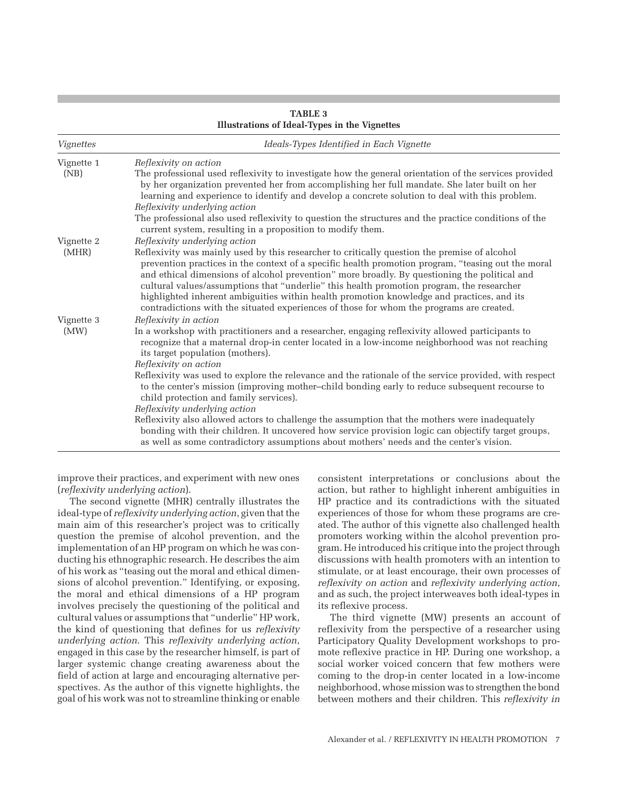| mustrations of fucur types in the vighettes |                                                                                                                                                                                                                                                                                                                                                                                                                                                                                                                                                                                                                                                                                                                                                                                       |  |
|---------------------------------------------|---------------------------------------------------------------------------------------------------------------------------------------------------------------------------------------------------------------------------------------------------------------------------------------------------------------------------------------------------------------------------------------------------------------------------------------------------------------------------------------------------------------------------------------------------------------------------------------------------------------------------------------------------------------------------------------------------------------------------------------------------------------------------------------|--|
| Vignettes                                   | Ideals-Types Identified in Each Vignette<br>Reflexivity on action<br>The professional used reflexivity to investigate how the general orientation of the services provided<br>by her organization prevented her from accomplishing her full mandate. She later built on her<br>learning and experience to identify and develop a concrete solution to deal with this problem.<br>Reflexivity underlying action<br>The professional also used reflexivity to question the structures and the practice conditions of the<br>current system, resulting in a proposition to modify them.                                                                                                                                                                                                  |  |
| Vignette 1<br>(NB)                          |                                                                                                                                                                                                                                                                                                                                                                                                                                                                                                                                                                                                                                                                                                                                                                                       |  |
| Vignette 2<br>(MHR)                         | Reflexivity underlying action<br>Reflexivity was mainly used by this researcher to critically question the premise of alcohol<br>prevention practices in the context of a specific health promotion program, "teasing out the moral<br>and ethical dimensions of alcohol prevention" more broadly. By questioning the political and<br>cultural values/assumptions that "underlie" this health promotion program, the researcher<br>highlighted inherent ambiguities within health promotion knowledge and practices, and its<br>contradictions with the situated experiences of those for whom the programs are created.                                                                                                                                                             |  |
| Vignette 3<br>(MW)                          | Reflexivity in action<br>In a workshop with practitioners and a researcher, engaging reflexivity allowed participants to<br>recognize that a maternal drop-in center located in a low-income neighborhood was not reaching<br>its target population (mothers).<br>Reflexivity on action<br>Reflexivity was used to explore the relevance and the rationale of the service provided, with respect<br>to the center's mission (improving mother-child bonding early to reduce subsequent recourse to<br>child protection and family services).<br>Reflexivity underlying action<br>Reflexivity also allowed actors to challenge the assumption that the mothers were inadequately<br>bonding with their children. It uncovered how service provision logic can objectify target groups, |  |
|                                             | as well as some contradictory assumptions about mothers' needs and the center's vision.                                                                                                                                                                                                                                                                                                                                                                                                                                                                                                                                                                                                                                                                                               |  |

## **Table 3 Illustrations of Ideal-Types in the Vignettes**

improve their practices, and experiment with new ones (*reflexivity underlying action*).

The second vignette (MHR) centrally illustrates the ideal-type of *reflexivity underlying action*, given that the main aim of this researcher's project was to critically question the premise of alcohol prevention, and the implementation of an HP program on which he was conducting his ethnographic research. He describes the aim of his work as "teasing out the moral and ethical dimensions of alcohol prevention." Identifying, or exposing, the moral and ethical dimensions of a HP program involves precisely the questioning of the political and cultural values or assumptions that "underlie" HP work, the kind of questioning that defines for us *reflexivity underlying action*. This *reflexivity underlying action*, engaged in this case by the researcher himself, is part of larger systemic change creating awareness about the field of action at large and encouraging alternative perspectives. As the author of this vignette highlights, the goal of his work was not to streamline thinking or enable

consistent interpretations or conclusions about the action, but rather to highlight inherent ambiguities in HP practice and its contradictions with the situated experiences of those for whom these programs are created. The author of this vignette also challenged health promoters working within the alcohol prevention program. He introduced his critique into the project through discussions with health promoters with an intention to stimulate, or at least encourage, their own processes of *reflexivity on action* and *reflexivity underlying action*, and as such, the project interweaves both ideal-types in its reflexive process.

The third vignette (MW) presents an account of reflexivity from the perspective of a researcher using Participatory Quality Development workshops to promote reflexive practice in HP. During one workshop, a social worker voiced concern that few mothers were coming to the drop-in center located in a low-income neighborhood, whose mission was to strengthen the bond between mothers and their children. This *reflexivity in*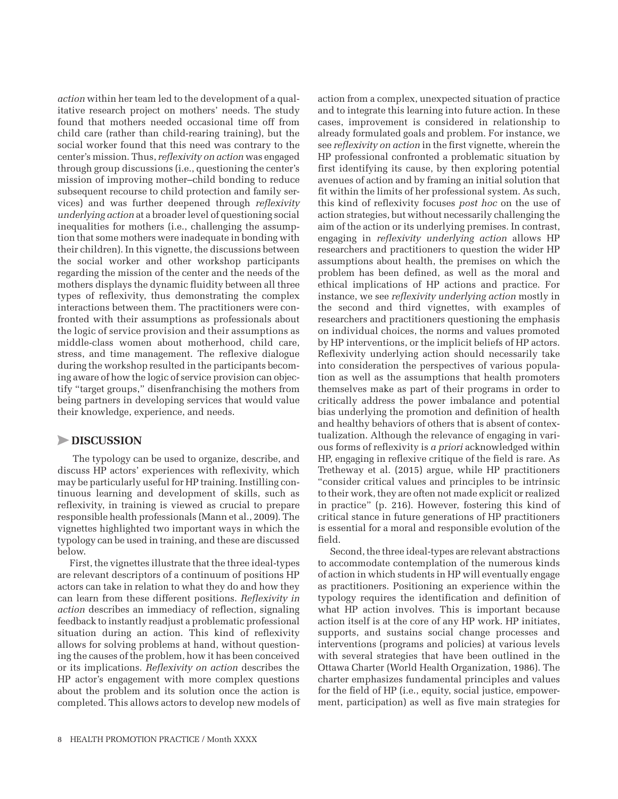*action* within her team led to the development of a qualitative research project on mothers' needs. The study found that mothers needed occasional time off from child care (rather than child-rearing training), but the social worker found that this need was contrary to the center's mission. Thus, *reflexivity on action* was engaged through group discussions (i.e., questioning the center's mission of improving mother–child bonding to reduce subsequent recourse to child protection and family services) and was further deepened through *reflexivity underlying action* at a broader level of questioning social inequalities for mothers (i.e., challenging the assumption that some mothers were inadequate in bonding with their children). In this vignette, the discussions between the social worker and other workshop participants regarding the mission of the center and the needs of the mothers displays the dynamic fluidity between all three types of reflexivity, thus demonstrating the complex interactions between them. The practitioners were confronted with their assumptions as professionals about the logic of service provision and their assumptions as middle-class women about motherhood, child care, stress, and time management. The reflexive dialogue during the workshop resulted in the participants becoming aware of how the logic of service provision can objectify "target groups," disenfranchising the mothers from being partners in developing services that would value their knowledge, experience, and needs.

# >**Discussion**

The typology can be used to organize, describe, and discuss HP actors' experiences with reflexivity, which may be particularly useful for HP training. Instilling continuous learning and development of skills, such as reflexivity, in training is viewed as crucial to prepare responsible health professionals (Mann et al., 2009). The vignettes highlighted two important ways in which the typology can be used in training, and these are discussed below.

First, the vignettes illustrate that the three ideal-types are relevant descriptors of a continuum of positions HP actors can take in relation to what they do and how they can learn from these different positions. *Reflexivity in action* describes an immediacy of reflection, signaling feedback to instantly readjust a problematic professional situation during an action. This kind of reflexivity allows for solving problems at hand, without questioning the causes of the problem, how it has been conceived or its implications. *Reflexivity on action* describes the HP actor's engagement with more complex questions about the problem and its solution once the action is completed. This allows actors to develop new models of action from a complex, unexpected situation of practice and to integrate this learning into future action. In these cases, improvement is considered in relationship to already formulated goals and problem. For instance, we see *reflexivity on action* in the first vignette, wherein the HP professional confronted a problematic situation by first identifying its cause, by then exploring potential avenues of action and by framing an initial solution that fit within the limits of her professional system. As such, this kind of reflexivity focuses *post hoc* on the use of action strategies, but without necessarily challenging the aim of the action or its underlying premises. In contrast, engaging in *reflexivity underlying action* allows HP researchers and practitioners to question the wider HP assumptions about health, the premises on which the problem has been defined, as well as the moral and ethical implications of HP actions and practice. For instance, we see *reflexivity underlying action* mostly in the second and third vignettes, with examples of researchers and practitioners questioning the emphasis on individual choices, the norms and values promoted by HP interventions, or the implicit beliefs of HP actors. Reflexivity underlying action should necessarily take into consideration the perspectives of various population as well as the assumptions that health promoters themselves make as part of their programs in order to critically address the power imbalance and potential bias underlying the promotion and definition of health and healthy behaviors of others that is absent of contextualization. Although the relevance of engaging in various forms of reflexivity is *a priori* acknowledged within HP, engaging in reflexive critique of the field is rare. As Tretheway et al. (2015) argue, while HP practitioners "consider critical values and principles to be intrinsic to their work, they are often not made explicit or realized in practice" (p. 216). However, fostering this kind of critical stance in future generations of HP practitioners is essential for a moral and responsible evolution of the field.

Second, the three ideal-types are relevant abstractions to accommodate contemplation of the numerous kinds of action in which students in HP will eventually engage as practitioners. Positioning an experience within the typology requires the identification and definition of what HP action involves. This is important because action itself is at the core of any HP work. HP initiates, supports, and sustains social change processes and interventions (programs and policies) at various levels with several strategies that have been outlined in the Ottawa Charter (World Health Organization, 1986). The charter emphasizes fundamental principles and values for the field of HP (i.e., equity, social justice, empowerment, participation) as well as five main strategies for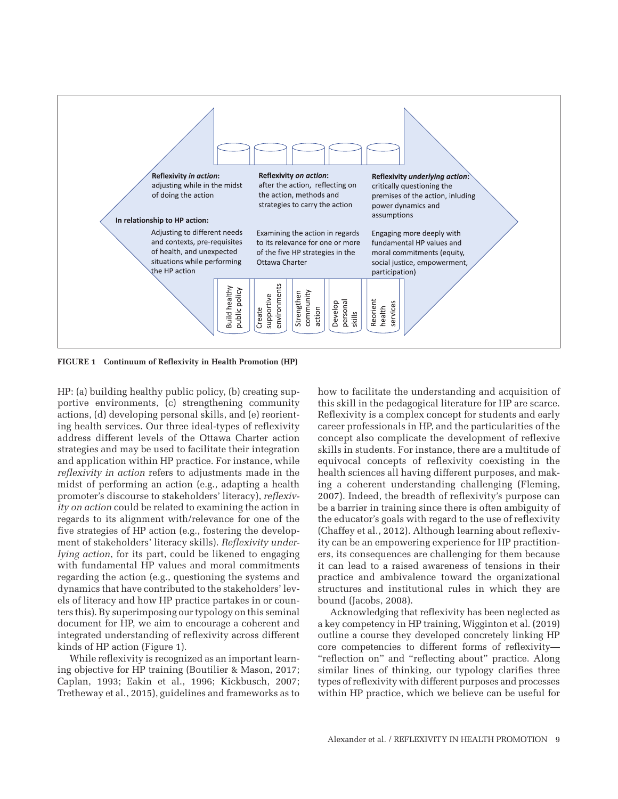

**Figure 1 Continuum of Reflexivity in Health Promotion (HP)**

HP: (a) building healthy public policy, (b) creating supportive environments, (c) strengthening community actions, (d) developing personal skills, and (e) reorienting health services. Our three ideal-types of reflexivity address different levels of the Ottawa Charter action strategies and may be used to facilitate their integration and application within HP practice. For instance, while *reflexivity in action* refers to adjustments made in the midst of performing an action (e.g., adapting a health promoter's discourse to stakeholders' literacy), *reflexivity on action* could be related to examining the action in regards to its alignment with/relevance for one of the five strategies of HP action (e.g., fostering the development of stakeholders' literacy skills). *Reflexivity underlying action*, for its part, could be likened to engaging with fundamental HP values and moral commitments regarding the action (e.g., questioning the systems and dynamics that have contributed to the stakeholders' levels of literacy and how HP practice partakes in or counters this). By superimposing our typology on this seminal document for HP, we aim to encourage a coherent and integrated understanding of reflexivity across different kinds of HP action (Figure 1).

While reflexivity is recognized as an important learning objective for HP training (Boutilier & Mason, 2017; Caplan, 1993; Eakin et al., 1996; Kickbusch, 2007; Tretheway et al., 2015), guidelines and frameworks as to how to facilitate the understanding and acquisition of this skill in the pedagogical literature for HP are scarce. Reflexivity is a complex concept for students and early career professionals in HP, and the particularities of the concept also complicate the development of reflexive skills in students. For instance, there are a multitude of equivocal concepts of reflexivity coexisting in the health sciences all having different purposes, and making a coherent understanding challenging (Fleming, 2007). Indeed, the breadth of reflexivity's purpose can be a barrier in training since there is often ambiguity of the educator's goals with regard to the use of reflexivity (Chaffey et al., 2012). Although learning about reflexivity can be an empowering experience for HP practitioners, its consequences are challenging for them because it can lead to a raised awareness of tensions in their practice and ambivalence toward the organizational structures and institutional rules in which they are bound (Jacobs, 2008).

Acknowledging that reflexivity has been neglected as a key competency in HP training, Wigginton et al. (2019) outline a course they developed concretely linking HP core competencies to different forms of reflexivity— "reflection on" and "reflecting about" practice. Along similar lines of thinking, our typology clarifies three types of reflexivity with different purposes and processes within HP practice, which we believe can be useful for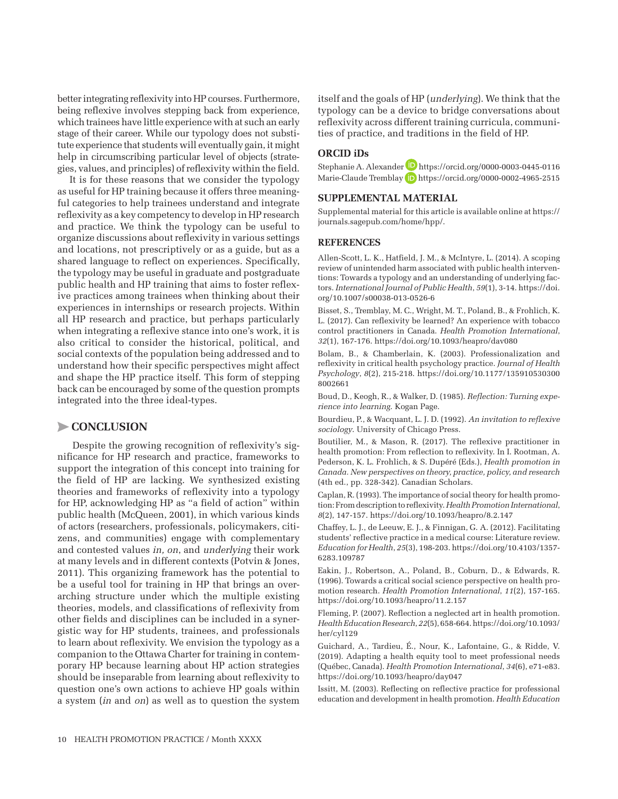better integrating reflexivity into HP courses. Furthermore, being reflexive involves stepping back from experience, which trainees have little experience with at such an early stage of their career. While our typology does not substitute experience that students will eventually gain, it might help in circumscribing particular level of objects (strategies, values, and principles) of reflexivity within the field.

It is for these reasons that we consider the typology as useful for HP training because it offers three meaningful categories to help trainees understand and integrate reflexivity as a key competency to develop in HP research and practice. We think the typology can be useful to organize discussions about reflexivity in various settings and locations, not prescriptively or as a guide, but as a shared language to reflect on experiences. Specifically, the typology may be useful in graduate and postgraduate public health and HP training that aims to foster reflexive practices among trainees when thinking about their experiences in internships or research projects. Within all HP research and practice, but perhaps particularly when integrating a reflexive stance into one's work, it is also critical to consider the historical, political, and social contexts of the population being addressed and to understand how their specific perspectives might affect and shape the HP practice itself. This form of stepping back can be encouraged by some of the question prompts integrated into the three ideal-types.

# >**Conclusion**

Despite the growing recognition of reflexivity's significance for HP research and practice, frameworks to support the integration of this concept into training for the field of HP are lacking. We synthesized existing theories and frameworks of reflexivity into a typology for HP, acknowledging HP as "a field of action" within public health (McQueen, 2001), in which various kinds of actors (researchers, professionals, policymakers, citizens, and communities) engage with complementary and contested values *in, on*, and *underlying* their work at many levels and in different contexts (Potvin & Jones, 2011). This organizing framework has the potential to be a useful tool for training in HP that brings an overarching structure under which the multiple existing theories, models, and classifications of reflexivity from other fields and disciplines can be included in a synergistic way for HP students, trainees, and professionals to learn about reflexivity. We envision the typology as a companion to the Ottawa Charter for training in contemporary HP because learning about HP action strategies should be inseparable from learning about reflexivity to question one's own actions to achieve HP goals within a system (*in* and *on*) as well as to question the system

itself and the goals of HP (*underlying*). We think that the typology can be a device to bridge conversations about reflexivity across different training curricula, communities of practice, and traditions in the field of HP.

## **ORCID iDs**

Stephanie A. Alexander <https://orcid.org/0000-0003-0445-0116> Marie-Claude Tremblay D <https://orcid.org/0000-0002-4965-2515>

## **SUPPLEMENTAL MATERIAL**

Supplemental material for this article is available online at [https://](https://journals.sagepub.com/home/hpp/) [journals.sagepub.com/home/hpp/](https://journals.sagepub.com/home/hpp/).

#### **References**

Allen-Scott, L. K., Hatfield, J. M., & McIntyre, L. (2014). A scoping review of unintended harm associated with public health interventions: Towards a typology and an understanding of underlying factors. *International Journal of Public Health*, *59*(1), 3-14. [https://doi.](https://doi.org/10.1007/s00038-013-0526-6) [org/10.1007/s00038-013-0526-6](https://doi.org/10.1007/s00038-013-0526-6)

Bisset, S., Tremblay, M. C., Wright, M. T., Poland, B., & Frohlich, K. L. (2017). Can reflexivity be learned? An experience with tobacco control practitioners in Canada. *Health Promotion International*, *32*(1), 167-176.<https://doi.org/10.1093/heapro/dav080>

Bolam, B., & Chamberlain, K. (2003). Professionalization and reflexivity in critical health psychology practice. *Journal of Health Psychology*, *8*(2), 215-218. [https://doi.org/10.1177/135910530300](https://doi.org/10.1177/1359105303008002661) [8002661](https://doi.org/10.1177/1359105303008002661)

Boud, D., Keogh, R., & Walker, D. (1985). *Reflection: Turning experience into learning*. Kogan Page.

Bourdieu, P., & Wacquant, L. J. D. (1992). *An invitation to reflexive sociology*. University of Chicago Press.

Boutilier, M., & Mason, R. (2017). The reflexive practitioner in health promotion: From reflection to reflexivity. In I. Rootman, A. Pederson, K. L. Frohlich, & S. Dupéré (Eds.), *Health promotion in Canada. New perspectives on theory, practice, policy, and research* (4th ed., pp. 328-342). Canadian Scholars.

Caplan, R. (1993). The importance of social theory for health promotion: From description to reflexivity. *Health Promotion International*, *8*(2), 147-157. <https://doi.org/10.1093/heapro/8.2.147>

Chaffey, L. J., de Leeuw, E. J., & Finnigan, G. A. (2012). Facilitating students' reflective practice in a medical course: Literature review. *Education for Health*, *25*(3), 198-203. [https://doi.org/10.4103/1357-](https://doi.org/10.4103/1357-6283.109787) [6283.109787](https://doi.org/10.4103/1357-6283.109787)

Eakin, J., Robertson, A., Poland, B., Coburn, D., & Edwards, R. (1996). Towards a critical social science perspective on health promotion research. *Health Promotion International*, *11*(2), 157-165. <https://doi.org/10.1093/heapro/11.2.157>

Fleming, P. (2007). Reflection a neglected art in health promotion. *Health Education Research*, *22*(5), 658-664. [https://doi.org/10.1093/](https://doi.org/10.1093/her/cyl129) [her/cyl129](https://doi.org/10.1093/her/cyl129)

Guichard, A., Tardieu, É., Nour, K., Lafontaine, G., & Ridde, V. (2019). Adapting a health equity tool to meet professional needs (Québec, Canada). *Health Promotion International*, *34*(6), e71-e83. <https://doi.org/10.1093/heapro/day047>

Issitt, M. (2003). Reflecting on reflective practice for professional education and development in health promotion. *Health Education*